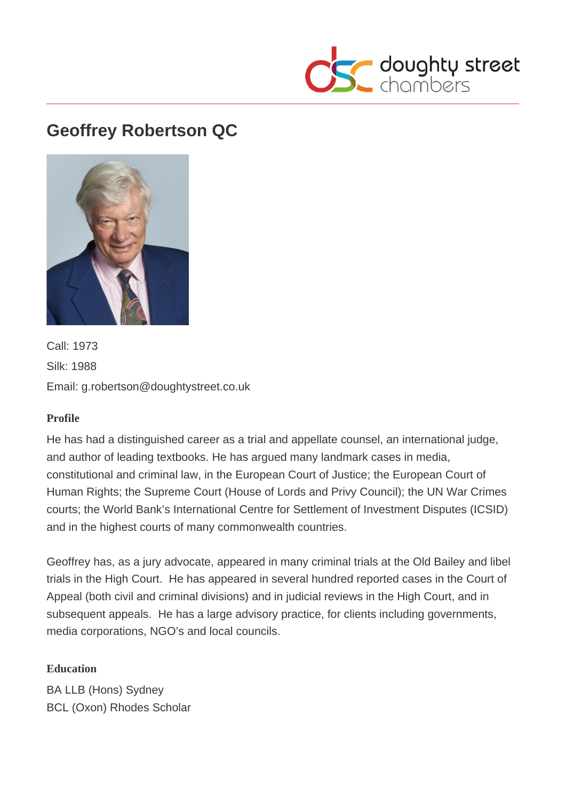

# **Geoffrey Robertson QC**



Call: 1973 Silk: 1988 Email: g.robertson@doughtystreet.co.uk

### **Profile**

He has had a distinguished career as a trial and appellate counsel, an international judge, and author of leading textbooks. He has argued many landmark cases in media, constitutional and criminal law, in the European Court of Justice; the European Court of Human Rights; the Supreme Court (House of Lords and Privy Council); the UN War Crimes courts; the World Bank's International Centre for Settlement of Investment Disputes (ICSID) and in the highest courts of many commonwealth countries.

Geoffrey has, as a jury advocate, appeared in many criminal trials at the Old Bailey and libel trials in the High Court. He has appeared in several hundred reported cases in the Court of Appeal (both civil and criminal divisions) and in judicial reviews in the High Court, and in subsequent appeals. He has a large advisory practice, for clients including governments, media corporations, NGO's and local councils.

### **Education**

BA LLB (Hons) Sydney BCL (Oxon) Rhodes Scholar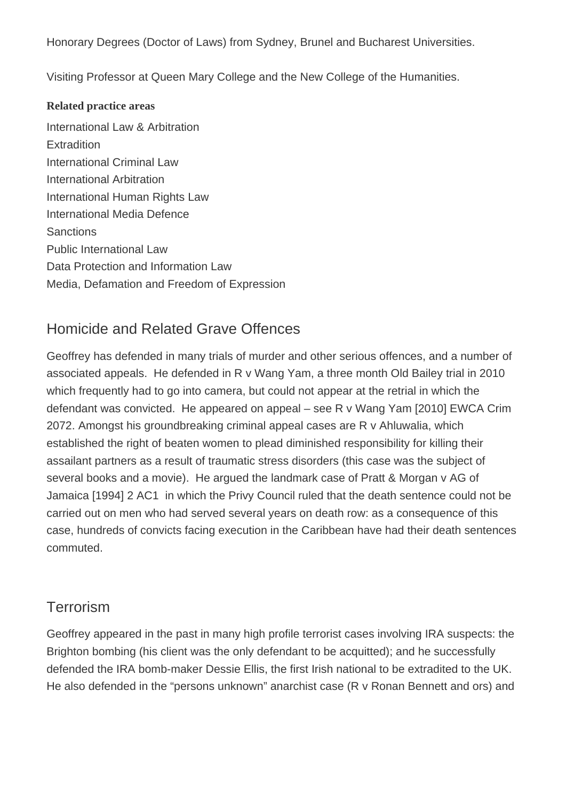Honorary Degrees (Doctor of Laws) from Sydney, Brunel and Bucharest Universities.

Visiting Professor at Queen Mary College and the New College of the Humanities.

#### **Related practice areas**

International Law & Arbitration **Extradition** International Criminal Law International Arbitration International Human Rights Law International Media Defence **Sanctions** Public International Law Data Protection and Information Law Media, Defamation and Freedom of Expression

## Homicide and Related Grave Offences

Geoffrey has defended in many trials of murder and other serious offences, and a number of associated appeals. He defended in R v Wang Yam, a three month Old Bailey trial in 2010 which frequently had to go into camera, but could not appear at the retrial in which the defendant was convicted. He appeared on appeal – see R v Wang Yam [2010] EWCA Crim 2072. Amongst his groundbreaking criminal appeal cases are R v Ahluwalia, which established the right of beaten women to plead diminished responsibility for killing their assailant partners as a result of traumatic stress disorders (this case was the subject of several books and a movie). He argued the landmark case of Pratt & Morgan v AG of Jamaica [1994] 2 AC1 in which the Privy Council ruled that the death sentence could not be carried out on men who had served several years on death row: as a consequence of this case, hundreds of convicts facing execution in the Caribbean have had their death sentences commuted.

## **Terrorism**

Geoffrey appeared in the past in many high profile terrorist cases involving IRA suspects: the Brighton bombing (his client was the only defendant to be acquitted); and he successfully defended the IRA bomb-maker Dessie Ellis, the first Irish national to be extradited to the UK. He also defended in the "persons unknown" anarchist case (R v Ronan Bennett and ors) and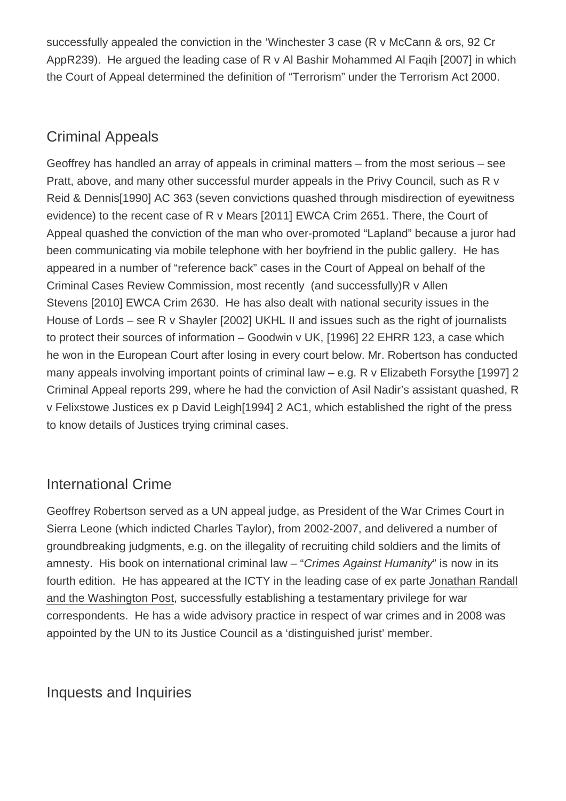successfully appealed the conviction in the 'Winchester 3 case (R v McCann & ors, 92 Cr AppR239). He argued the leading case of R v Al Bashir Mohammed Al Faqih [2007] in which the Court of Appeal determined the definition of "Terrorism" under the Terrorism Act 2000.

## Criminal Appeals

Geoffrey has handled an array of appeals in criminal matters – from the most serious – see Pratt, above, and many other successful murder appeals in the Privy Council, such as R v Reid & Dennis[1990] AC 363 (seven convictions quashed through misdirection of eyewitness evidence) to the recent case of R v Mears [2011] EWCA Crim 2651. There, the Court of Appeal quashed the conviction of the man who over-promoted "Lapland" because a juror had been communicating via mobile telephone with her boyfriend in the public gallery. He has appeared in a number of "reference back" cases in the Court of Appeal on behalf of the Criminal Cases Review Commission, most recently (and successfully)R v Allen Stevens [2010] EWCA Crim 2630. He has also dealt with national security issues in the House of Lords – see R v Shayler [2002] UKHL II and issues such as the right of journalists to protect their sources of information – Goodwin v UK, [1996] 22 EHRR 123, a case which he won in the European Court after losing in every court below. Mr. Robertson has conducted many appeals involving important points of criminal law – e.g. R v Elizabeth Forsythe [1997] 2 Criminal Appeal reports 299, where he had the conviction of Asil Nadir's assistant quashed, R v Felixstowe Justices ex p David Leigh[1994] 2 AC1, which established the right of the press to know details of Justices trying criminal cases.

## International Crime

Geoffrey Robertson served as a UN appeal judge, as President of the War Crimes Court in Sierra Leone (which indicted Charles Taylor), from 2002-2007, and delivered a number of groundbreaking judgments, e.g. on the illegality of recruiting child soldiers and the limits of amnesty. His book on international criminal law – "Crimes Against Humanity" is now in its fourth edition. He has appeared at the ICTY in the leading case of ex parte Jonathan Randall and the Washington Post, successfully establishing a testamentary privilege for war correspondents. He has a wide advisory practice in respect of war crimes and in 2008 was appointed by the UN to its Justice Council as a 'distinguished jurist' member.

## Inquests and Inquiries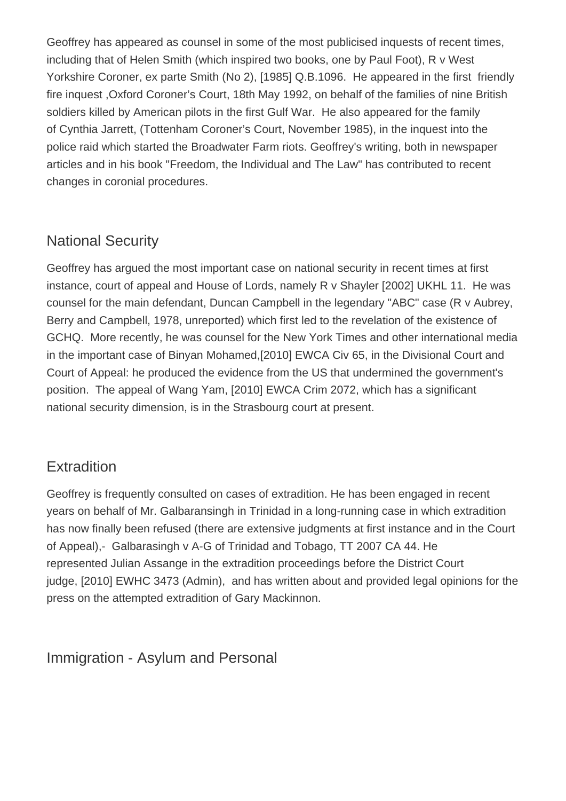Geoffrey has appeared as counsel in some of the most publicised inquests of recent times, including that of Helen Smith (which inspired two books, one by Paul Foot), R v West Yorkshire Coroner, ex parte Smith (No 2), [1985] Q.B.1096. He appeared in the first friendly fire inquest ,Oxford Coroner's Court, 18th May 1992, on behalf of the families of nine British soldiers killed by American pilots in the first Gulf War. He also appeared for the family of Cynthia Jarrett, (Tottenham Coroner's Court, November 1985), in the inquest into the police raid which started the Broadwater Farm riots. Geoffrey's writing, both in newspaper articles and in his book "Freedom, the Individual and The Law" has contributed to recent changes in coronial procedures.

## National Security

Geoffrey has argued the most important case on national security in recent times at first instance, court of appeal and House of Lords, namely R v Shayler [2002] UKHL 11. He was counsel for the main defendant, Duncan Campbell in the legendary "ABC" case (R v Aubrey, Berry and Campbell, 1978, unreported) which first led to the revelation of the existence of GCHQ. More recently, he was counsel for the New York Times and other international media in the important case of Binyan Mohamed,[2010] EWCA Civ 65, in the Divisional Court and Court of Appeal: he produced the evidence from the US that undermined the government's position. The appeal of Wang Yam, [2010] EWCA Crim 2072, which has a significant national security dimension, is in the Strasbourg court at present.

## **Extradition**

Geoffrey is frequently consulted on cases of extradition. He has been engaged in recent years on behalf of Mr. Galbaransingh in Trinidad in a long-running case in which extradition has now finally been refused (there are extensive judgments at first instance and in the Court of Appeal),- Galbarasingh v A-G of Trinidad and Tobago, TT 2007 CA 44. He represented Julian Assange in the extradition proceedings before the District Court judge, [2010] EWHC 3473 (Admin), and has written about and provided legal opinions for the press on the attempted extradition of Gary Mackinnon.

Immigration - Asylum and Personal